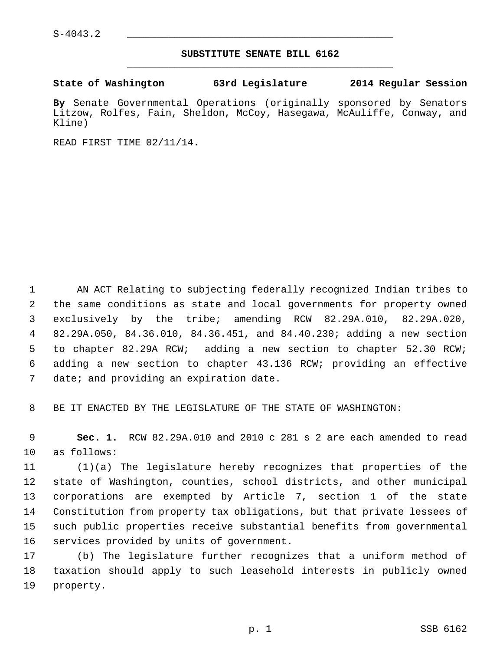## **SUBSTITUTE SENATE BILL 6162** \_\_\_\_\_\_\_\_\_\_\_\_\_\_\_\_\_\_\_\_\_\_\_\_\_\_\_\_\_\_\_\_\_\_\_\_\_\_\_\_\_\_\_\_\_

## **State of Washington 63rd Legislature 2014 Regular Session**

**By** Senate Governmental Operations (originally sponsored by Senators Litzow, Rolfes, Fain, Sheldon, McCoy, Hasegawa, McAuliffe, Conway, and Kline)

READ FIRST TIME 02/11/14.

 1 AN ACT Relating to subjecting federally recognized Indian tribes to 2 the same conditions as state and local governments for property owned 3 exclusively by the tribe; amending RCW 82.29A.010, 82.29A.020, 4 82.29A.050, 84.36.010, 84.36.451, and 84.40.230; adding a new section 5 to chapter 82.29A RCW; adding a new section to chapter 52.30 RCW; 6 adding a new section to chapter 43.136 RCW; providing an effective 7 date; and providing an expiration date.

8 BE IT ENACTED BY THE LEGISLATURE OF THE STATE OF WASHINGTON:

 9 **Sec. 1.** RCW 82.29A.010 and 2010 c 281 s 2 are each amended to read 10 as follows:

11 (1)(a) The legislature hereby recognizes that properties of the 12 state of Washington, counties, school districts, and other municipal 13 corporations are exempted by Article 7, section 1 of the state 14 Constitution from property tax obligations, but that private lessees of 15 such public properties receive substantial benefits from governmental 16 services provided by units of government.

17 (b) The legislature further recognizes that a uniform method of 18 taxation should apply to such leasehold interests in publicly owned 19 property.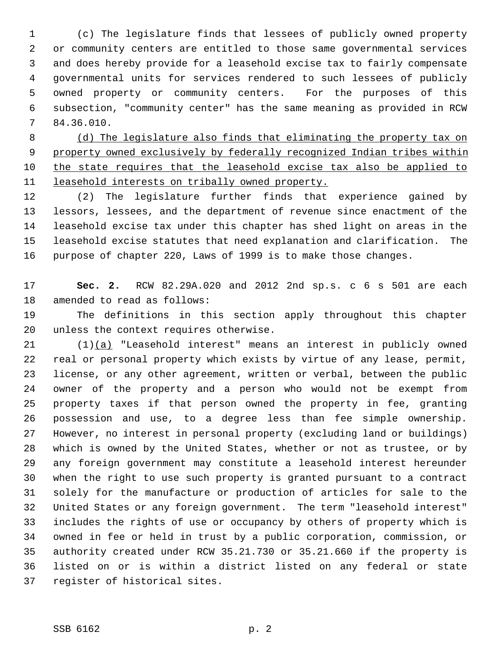1 (c) The legislature finds that lessees of publicly owned property 2 or community centers are entitled to those same governmental services 3 and does hereby provide for a leasehold excise tax to fairly compensate 4 governmental units for services rendered to such lessees of publicly 5 owned property or community centers. For the purposes of this 6 subsection, "community center" has the same meaning as provided in RCW 7 84.36.010.

 (d) The legislature also finds that eliminating the property tax on property owned exclusively by federally recognized Indian tribes within the state requires that the leasehold excise tax also be applied to leasehold interests on tribally owned property.

12 (2) The legislature further finds that experience gained by 13 lessors, lessees, and the department of revenue since enactment of the 14 leasehold excise tax under this chapter has shed light on areas in the 15 leasehold excise statutes that need explanation and clarification. The 16 purpose of chapter 220, Laws of 1999 is to make those changes.

17 **Sec. 2.** RCW 82.29A.020 and 2012 2nd sp.s. c 6 s 501 are each 18 amended to read as follows:

19 The definitions in this section apply throughout this chapter 20 unless the context requires otherwise.

21 (1)(a) "Leasehold interest" means an interest in publicly owned 22 real or personal property which exists by virtue of any lease, permit, 23 license, or any other agreement, written or verbal, between the public 24 owner of the property and a person who would not be exempt from 25 property taxes if that person owned the property in fee, granting 26 possession and use, to a degree less than fee simple ownership. 27 However, no interest in personal property (excluding land or buildings) 28 which is owned by the United States, whether or not as trustee, or by 29 any foreign government may constitute a leasehold interest hereunder 30 when the right to use such property is granted pursuant to a contract 31 solely for the manufacture or production of articles for sale to the 32 United States or any foreign government. The term "leasehold interest" 33 includes the rights of use or occupancy by others of property which is 34 owned in fee or held in trust by a public corporation, commission, or 35 authority created under RCW 35.21.730 or 35.21.660 if the property is 36 listed on or is within a district listed on any federal or state 37 register of historical sites.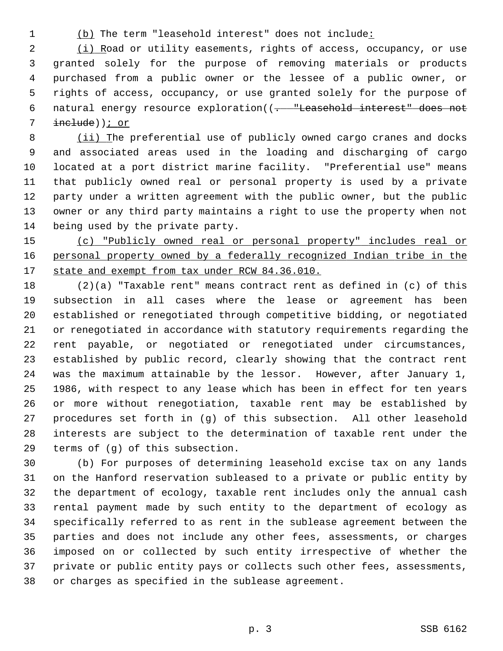1 (b) The term "leasehold interest" does not include:

 2 (i) Road or utility easements, rights of access, occupancy, or use 3 granted solely for the purpose of removing materials or products 4 purchased from a public owner or the lessee of a public owner, or 5 rights of access, occupancy, or use granted solely for the purpose of 6 natural energy resource exploration((. "Leasehold interest" does not 7 include)); or

 8 (ii) The preferential use of publicly owned cargo cranes and docks 9 and associated areas used in the loading and discharging of cargo 10 located at a port district marine facility. "Preferential use" means 11 that publicly owned real or personal property is used by a private 12 party under a written agreement with the public owner, but the public 13 owner or any third party maintains a right to use the property when not 14 being used by the private party.

15 (c) "Publicly owned real or personal property" includes real or 16 personal property owned by a federally recognized Indian tribe in the 17 state and exempt from tax under RCW 84.36.010.

18 (2)(a) "Taxable rent" means contract rent as defined in (c) of this 19 subsection in all cases where the lease or agreement has been 20 established or renegotiated through competitive bidding, or negotiated 21 or renegotiated in accordance with statutory requirements regarding the 22 rent payable, or negotiated or renegotiated under circumstances, 23 established by public record, clearly showing that the contract rent 24 was the maximum attainable by the lessor. However, after January 1, 25 1986, with respect to any lease which has been in effect for ten years 26 or more without renegotiation, taxable rent may be established by 27 procedures set forth in (g) of this subsection. All other leasehold 28 interests are subject to the determination of taxable rent under the 29 terms of (g) of this subsection.

30 (b) For purposes of determining leasehold excise tax on any lands 31 on the Hanford reservation subleased to a private or public entity by 32 the department of ecology, taxable rent includes only the annual cash 33 rental payment made by such entity to the department of ecology as 34 specifically referred to as rent in the sublease agreement between the 35 parties and does not include any other fees, assessments, or charges 36 imposed on or collected by such entity irrespective of whether the 37 private or public entity pays or collects such other fees, assessments, 38 or charges as specified in the sublease agreement.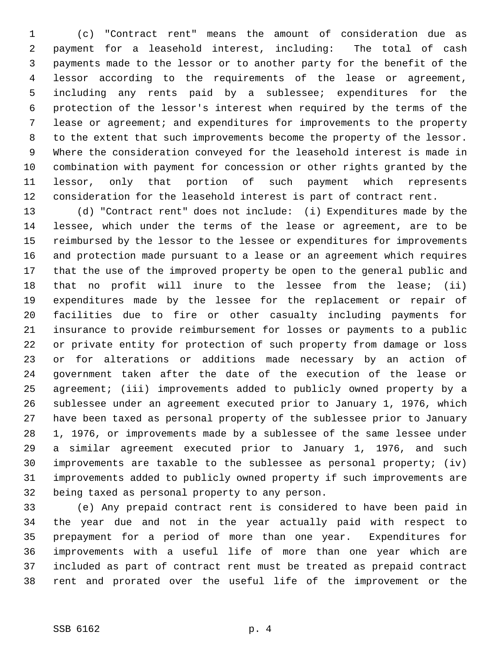1 (c) "Contract rent" means the amount of consideration due as 2 payment for a leasehold interest, including: The total of cash 3 payments made to the lessor or to another party for the benefit of the 4 lessor according to the requirements of the lease or agreement, 5 including any rents paid by a sublessee; expenditures for the 6 protection of the lessor's interest when required by the terms of the 7 lease or agreement; and expenditures for improvements to the property 8 to the extent that such improvements become the property of the lessor. 9 Where the consideration conveyed for the leasehold interest is made in 10 combination with payment for concession or other rights granted by the 11 lessor, only that portion of such payment which represents 12 consideration for the leasehold interest is part of contract rent.

13 (d) "Contract rent" does not include: (i) Expenditures made by the 14 lessee, which under the terms of the lease or agreement, are to be 15 reimbursed by the lessor to the lessee or expenditures for improvements 16 and protection made pursuant to a lease or an agreement which requires 17 that the use of the improved property be open to the general public and 18 that no profit will inure to the lessee from the lease; (ii) 19 expenditures made by the lessee for the replacement or repair of 20 facilities due to fire or other casualty including payments for 21 insurance to provide reimbursement for losses or payments to a public 22 or private entity for protection of such property from damage or loss 23 or for alterations or additions made necessary by an action of 24 government taken after the date of the execution of the lease or 25 agreement; (iii) improvements added to publicly owned property by a 26 sublessee under an agreement executed prior to January 1, 1976, which 27 have been taxed as personal property of the sublessee prior to January 28 1, 1976, or improvements made by a sublessee of the same lessee under 29 a similar agreement executed prior to January 1, 1976, and such 30 improvements are taxable to the sublessee as personal property; (iv) 31 improvements added to publicly owned property if such improvements are 32 being taxed as personal property to any person.

33 (e) Any prepaid contract rent is considered to have been paid in 34 the year due and not in the year actually paid with respect to 35 prepayment for a period of more than one year. Expenditures for 36 improvements with a useful life of more than one year which are 37 included as part of contract rent must be treated as prepaid contract 38 rent and prorated over the useful life of the improvement or the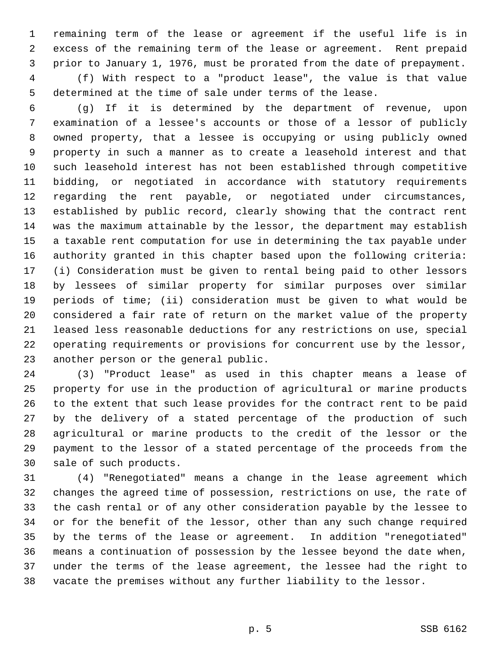1 remaining term of the lease or agreement if the useful life is in 2 excess of the remaining term of the lease or agreement. Rent prepaid 3 prior to January 1, 1976, must be prorated from the date of prepayment. 4 (f) With respect to a "product lease", the value is that value 5 determined at the time of sale under terms of the lease.

 6 (g) If it is determined by the department of revenue, upon 7 examination of a lessee's accounts or those of a lessor of publicly 8 owned property, that a lessee is occupying or using publicly owned 9 property in such a manner as to create a leasehold interest and that 10 such leasehold interest has not been established through competitive 11 bidding, or negotiated in accordance with statutory requirements 12 regarding the rent payable, or negotiated under circumstances, 13 established by public record, clearly showing that the contract rent 14 was the maximum attainable by the lessor, the department may establish 15 a taxable rent computation for use in determining the tax payable under 16 authority granted in this chapter based upon the following criteria: 17 (i) Consideration must be given to rental being paid to other lessors 18 by lessees of similar property for similar purposes over similar 19 periods of time; (ii) consideration must be given to what would be 20 considered a fair rate of return on the market value of the property 21 leased less reasonable deductions for any restrictions on use, special 22 operating requirements or provisions for concurrent use by the lessor, 23 another person or the general public.

24 (3) "Product lease" as used in this chapter means a lease of 25 property for use in the production of agricultural or marine products 26 to the extent that such lease provides for the contract rent to be paid 27 by the delivery of a stated percentage of the production of such 28 agricultural or marine products to the credit of the lessor or the 29 payment to the lessor of a stated percentage of the proceeds from the 30 sale of such products.

31 (4) "Renegotiated" means a change in the lease agreement which 32 changes the agreed time of possession, restrictions on use, the rate of 33 the cash rental or of any other consideration payable by the lessee to 34 or for the benefit of the lessor, other than any such change required 35 by the terms of the lease or agreement. In addition "renegotiated" 36 means a continuation of possession by the lessee beyond the date when, 37 under the terms of the lease agreement, the lessee had the right to 38 vacate the premises without any further liability to the lessor.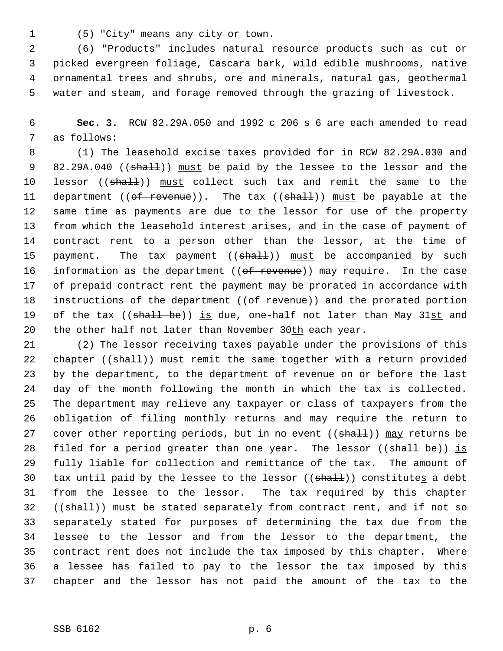1 (5) "City" means any city or town.

 2 (6) "Products" includes natural resource products such as cut or 3 picked evergreen foliage, Cascara bark, wild edible mushrooms, native 4 ornamental trees and shrubs, ore and minerals, natural gas, geothermal 5 water and steam, and forage removed through the grazing of livestock.

 6 **Sec. 3.** RCW 82.29A.050 and 1992 c 206 s 6 are each amended to read 7 as follows:

 8 (1) The leasehold excise taxes provided for in RCW 82.29A.030 and 9 82.29A.040 ((shall)) must be paid by the lessee to the lessor and the 10 lessor ((shall)) must collect such tax and remit the same to the 11 department (( $of$  revenue)). The tax ( $(shat)$ )) must be payable at the 12 same time as payments are due to the lessor for use of the property 13 from which the leasehold interest arises, and in the case of payment of 14 contract rent to a person other than the lessor, at the time of 15 payment. The tax payment  $((shall))$  must be accompanied by such 16 information as the department ( $(\overline{off}$  revenue)) may require. In the case 17 of prepaid contract rent the payment may be prorated in accordance with 18 instructions of the department ((of revenue)) and the prorated portion 19 of the tax ((shall be)) is due, one-half not later than May 31st and 20 the other half not later than November 30th each year.

21 (2) The lessor receiving taxes payable under the provisions of this 22 chapter ((shall)) must remit the same together with a return provided 23 by the department, to the department of revenue on or before the last 24 day of the month following the month in which the tax is collected. 25 The department may relieve any taxpayer or class of taxpayers from the 26 obligation of filing monthly returns and may require the return to 27 cover other reporting periods, but in no event  $((shall))$  may returns be 28 filed for a period greater than one year. The lessor ((shall be)) is 29 fully liable for collection and remittance of the tax. The amount of 30 tax until paid by the lessee to the lessor  $((shall))$  constitutes a debt 31 from the lessee to the lessor. The tax required by this chapter 32 ((shall)) must be stated separately from contract rent, and if not so 33 separately stated for purposes of determining the tax due from the 34 lessee to the lessor and from the lessor to the department, the 35 contract rent does not include the tax imposed by this chapter. Where 36 a lessee has failed to pay to the lessor the tax imposed by this 37 chapter and the lessor has not paid the amount of the tax to the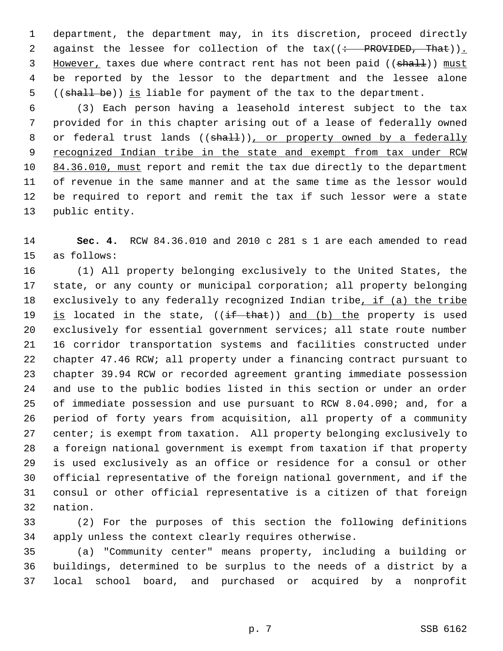1 department, the department may, in its discretion, proceed directly 2 against the lessee for collection of the  $\text{tax}((\div\text{PROVIDED},\text{That}))$ . 3 However, taxes due where contract rent has not been paid ((shall)) must 4 be reported by the lessor to the department and the lessee alone 5 ((shall be)) is liable for payment of the tax to the department.

 6 (3) Each person having a leasehold interest subject to the tax 7 provided for in this chapter arising out of a lease of federally owned 8 or federal trust lands ((shall)), or property owned by a federally 9 recognized Indian tribe in the state and exempt from tax under RCW 10 84.36.010, must report and remit the tax due directly to the department 11 of revenue in the same manner and at the same time as the lessor would 12 be required to report and remit the tax if such lessor were a state 13 public entity.

14 **Sec. 4.** RCW 84.36.010 and 2010 c 281 s 1 are each amended to read 15 as follows:

16 (1) All property belonging exclusively to the United States, the 17 state, or any county or municipal corporation; all property belonging 18 exclusively to any federally recognized Indian tribe, if (a) the tribe 19 is located in the state,  $((\pm f + \theta)$  and (b) the property is used 20 exclusively for essential government services; all state route number 21 16 corridor transportation systems and facilities constructed under 22 chapter 47.46 RCW; all property under a financing contract pursuant to 23 chapter 39.94 RCW or recorded agreement granting immediate possession 24 and use to the public bodies listed in this section or under an order 25 of immediate possession and use pursuant to RCW 8.04.090; and, for a 26 period of forty years from acquisition, all property of a community 27 center; is exempt from taxation. All property belonging exclusively to 28 a foreign national government is exempt from taxation if that property 29 is used exclusively as an office or residence for a consul or other 30 official representative of the foreign national government, and if the 31 consul or other official representative is a citizen of that foreign 32 nation.

33 (2) For the purposes of this section the following definitions 34 apply unless the context clearly requires otherwise.

35 (a) "Community center" means property, including a building or 36 buildings, determined to be surplus to the needs of a district by a 37 local school board, and purchased or acquired by a nonprofit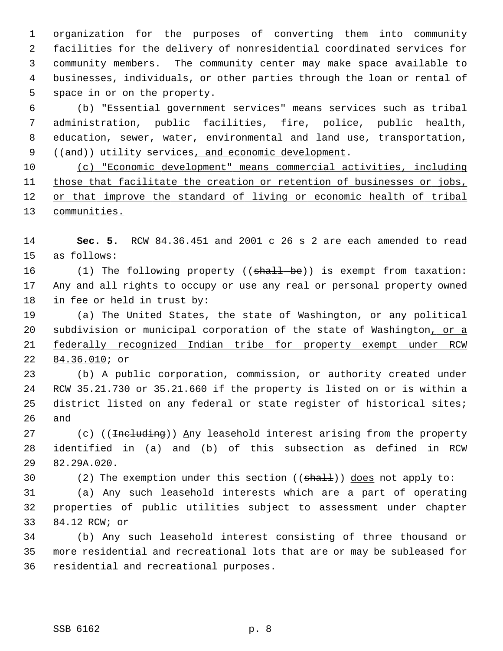1 organization for the purposes of converting them into community 2 facilities for the delivery of nonresidential coordinated services for 3 community members. The community center may make space available to 4 businesses, individuals, or other parties through the loan or rental of 5 space in or on the property.

 6 (b) "Essential government services" means services such as tribal 7 administration, public facilities, fire, police, public health, 8 education, sewer, water, environmental and land use, transportation, 9 ((and)) utility services, and economic development.

 (c) "Economic development" means commercial activities, including those that facilitate the creation or retention of businesses or jobs, or that improve the standard of living or economic health of tribal communities.

14 **Sec. 5.** RCW 84.36.451 and 2001 c 26 s 2 are each amended to read 15 as follows:

16 (1) The following property ((shall be)) is exempt from taxation: 17 Any and all rights to occupy or use any real or personal property owned 18 in fee or held in trust by:

19 (a) The United States, the state of Washington, or any political 20 subdivision or municipal corporation of the state of Washington, or a 21 federally recognized Indian tribe for property exempt under RCW 22 84.36.010; or

23 (b) A public corporation, commission, or authority created under 24 RCW 35.21.730 or 35.21.660 if the property is listed on or is within a 25 district listed on any federal or state register of historical sites; 26 and

27 (c) ((<del>Including</del>)) Any leasehold interest arising from the property 28 identified in (a) and (b) of this subsection as defined in RCW 29 82.29A.020.

30 (2) The exemption under this section (( $\text{shalt}$ )) does not apply to:

31 (a) Any such leasehold interests which are a part of operating 32 properties of public utilities subject to assessment under chapter 33 84.12 RCW; or

34 (b) Any such leasehold interest consisting of three thousand or 35 more residential and recreational lots that are or may be subleased for 36 residential and recreational purposes.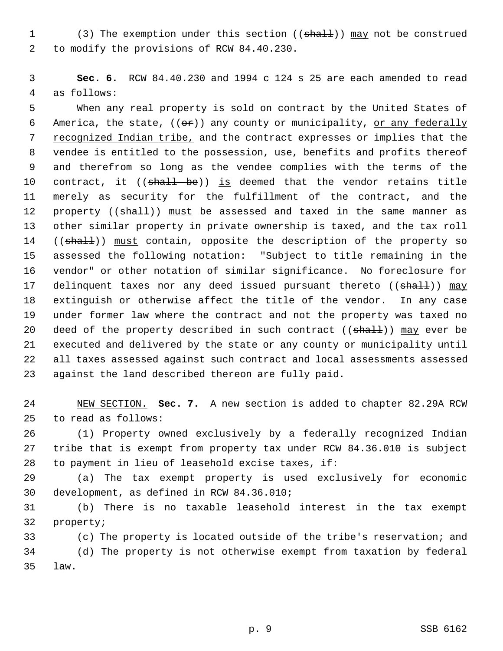1 (3) The exemption under this section ((shall)) may not be construed 2 to modify the provisions of RCW 84.40.230.

 3 **Sec. 6.** RCW 84.40.230 and 1994 c 124 s 25 are each amended to read 4 as follows:

 5 When any real property is sold on contract by the United States of 6 America, the state,  $((e^*)$  any county or municipality, or any federally 7 recognized Indian tribe, and the contract expresses or implies that the 8 vendee is entitled to the possession, use, benefits and profits thereof 9 and therefrom so long as the vendee complies with the terms of the 10 contract, it ((shall be)) is deemed that the vendor retains title 11 merely as security for the fulfillment of the contract, and the 12 property (( $\frac{1}{3}$ ) must be assessed and taxed in the same manner as 13 other similar property in private ownership is taxed, and the tax roll 14 ((shall)) must contain, opposite the description of the property so 15 assessed the following notation: "Subject to title remaining in the 16 vendor" or other notation of similar significance. No foreclosure for 17 delinquent taxes nor any deed issued pursuant thereto ((shall)) may 18 extinguish or otherwise affect the title of the vendor. In any case 19 under former law where the contract and not the property was taxed no 20 deed of the property described in such contract  $((shall))$  may ever be 21 executed and delivered by the state or any county or municipality until 22 all taxes assessed against such contract and local assessments assessed 23 against the land described thereon are fully paid.

24 NEW SECTION. **Sec. 7.** A new section is added to chapter 82.29A RCW 25 to read as follows:

26 (1) Property owned exclusively by a federally recognized Indian 27 tribe that is exempt from property tax under RCW 84.36.010 is subject 28 to payment in lieu of leasehold excise taxes, if:

29 (a) The tax exempt property is used exclusively for economic 30 development, as defined in RCW 84.36.010;

31 (b) There is no taxable leasehold interest in the tax exempt 32 property;

33 (c) The property is located outside of the tribe's reservation; and 34 (d) The property is not otherwise exempt from taxation by federal 35 law.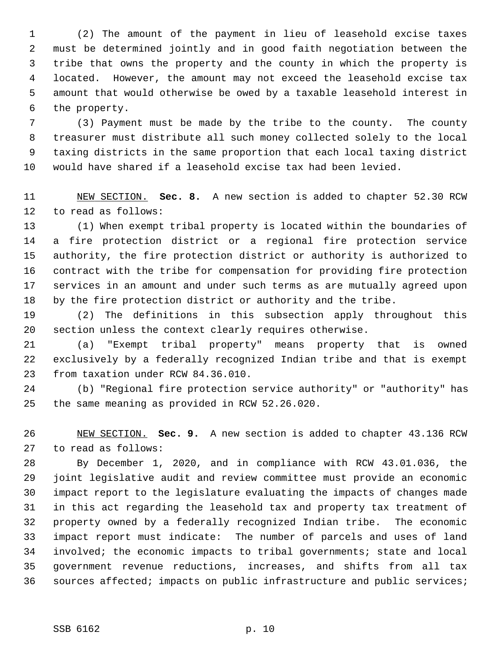1 (2) The amount of the payment in lieu of leasehold excise taxes 2 must be determined jointly and in good faith negotiation between the 3 tribe that owns the property and the county in which the property is 4 located. However, the amount may not exceed the leasehold excise tax 5 amount that would otherwise be owed by a taxable leasehold interest in 6 the property.

 7 (3) Payment must be made by the tribe to the county. The county 8 treasurer must distribute all such money collected solely to the local 9 taxing districts in the same proportion that each local taxing district 10 would have shared if a leasehold excise tax had been levied.

11 NEW SECTION. **Sec. 8.** A new section is added to chapter 52.30 RCW 12 to read as follows:

13 (1) When exempt tribal property is located within the boundaries of 14 a fire protection district or a regional fire protection service 15 authority, the fire protection district or authority is authorized to 16 contract with the tribe for compensation for providing fire protection 17 services in an amount and under such terms as are mutually agreed upon 18 by the fire protection district or authority and the tribe.

19 (2) The definitions in this subsection apply throughout this 20 section unless the context clearly requires otherwise.

21 (a) "Exempt tribal property" means property that is owned 22 exclusively by a federally recognized Indian tribe and that is exempt 23 from taxation under RCW 84.36.010.

24 (b) "Regional fire protection service authority" or "authority" has 25 the same meaning as provided in RCW 52.26.020.

26 NEW SECTION. **Sec. 9.** A new section is added to chapter 43.136 RCW 27 to read as follows:

28 By December 1, 2020, and in compliance with RCW 43.01.036, the 29 joint legislative audit and review committee must provide an economic 30 impact report to the legislature evaluating the impacts of changes made 31 in this act regarding the leasehold tax and property tax treatment of 32 property owned by a federally recognized Indian tribe. The economic 33 impact report must indicate: The number of parcels and uses of land 34 involved; the economic impacts to tribal governments; state and local 35 government revenue reductions, increases, and shifts from all tax 36 sources affected; impacts on public infrastructure and public services;